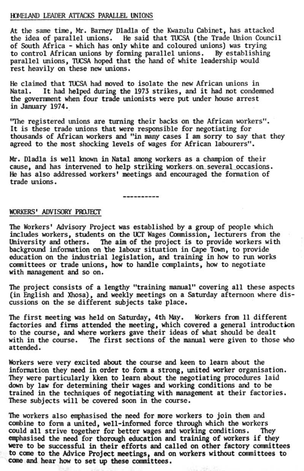## HOMELAND LEADER ATTACKS PARALLEL UNIONS

At the same tine, Mr. Barney Dladla of the Kwazulu Cabinet, has attacked the idea of parallel unions. He said that TUCSA (the Trade Union Council of South Africa - which has only white and coloured unions) was trying to control African unions by fonning parallel unions. By establishing parallel unions, TUCSA hoped that the hand of white leadership would rest heavily on these new unions.

He claimed that TUCSA had moved to isolate the new African unions in Natal. It had helped during the <sup>1973</sup> strikes, and it had not condemned the government when four trade unionists were put under house arrest in January 1974.

''The registered unions are turning their backs on the African workers". It is these trade unions that were responsible for negotiating for thousands of African workers and "in many cases I am sorry to say that they agreed to the most shocking levels of wages for African labourers".

Mr. Dladla is well known in Natal among workers as a champion of their cause, and has intervened to help striking workers on several occasions. He has also addressed workers' meetings and encouraged the formation of trade unions.

## WORKERS' ADVISORY PROJECT

The project consists of a lengthy "training manual" covering all these aspects (in English and Xhosa). and weekly meetings on a Saturday afternoon where discussions on the se different subjects take place.

The first meeting was held on Saturday, 4th May. Workers from 11 different factories and firms attended the meeting, which covered a general introduction to the course, and where workers gave their ideas of what should be dealt with in the course. The first sections of the manual were given to those who attended.

Workers were very excited about the course and keen to learn about the information they need in order to form a strong, united worker organisation. They were particularly kken to learn about the negotiating procedures laid down by law for detemining their wages and working conditions and to be trained in the techniques of negotiating with management at their factories. These subjects will be covered soon in the course.

The workers also emphasised the need for more workers to join them and combine to form a united, well-informed force through which the workers could all strive together for better wages ard working conditions. They emphasised the need for thorough education and training of workers if they were to be successful in their efforts and called on other factory committees to come to the Advice Project meetings, and on workers without committees to come and hear how to set up these committees.

The Workers' *Advisory* Project was established by a group of people which includes workers, students on the UCT Wages Commission, lecturers from the University and others. The aim of the project is to provide workers with background information on the labour situation in Cape Town, to provide education on the industrial legislation, and training in how to run works committees or trade unions, how to handle complaints, how to negotiate with management and so on.